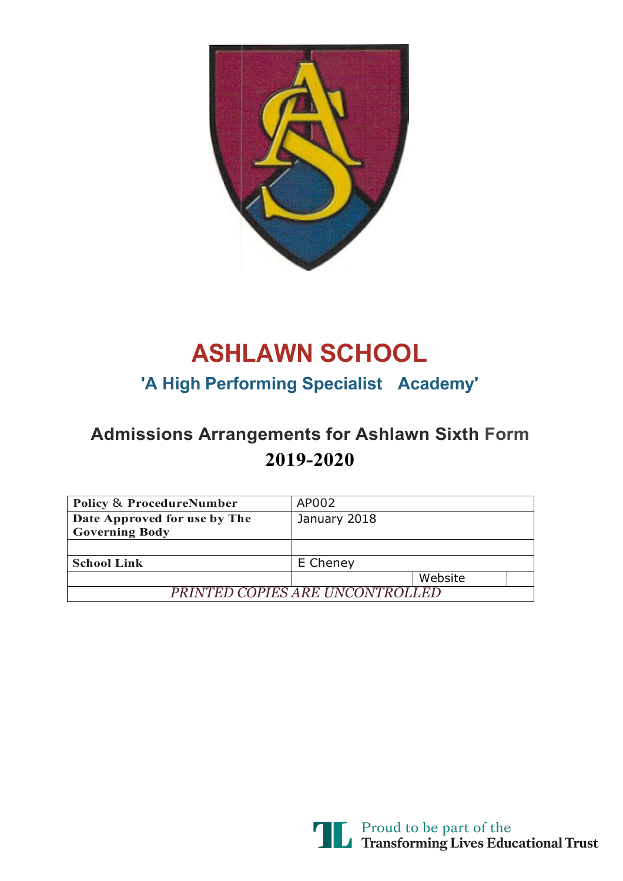

# **ASHLAWN SCHOOL**

### **'A High Performing Specialist Academy'**

## **Admissions Arrangements for Ashlawn Sixth Form 2019-2020**

| <b>Policy &amp; ProcedureNumber</b>                   | AP002        |         |  |
|-------------------------------------------------------|--------------|---------|--|
| Date Approved for use by The<br><b>Governing Body</b> | January 2018 |         |  |
|                                                       |              |         |  |
| <b>School Link</b>                                    | E Cheney     |         |  |
|                                                       |              | Website |  |
| PRINTED COPIES ARE UNCONTROLLED                       |              |         |  |

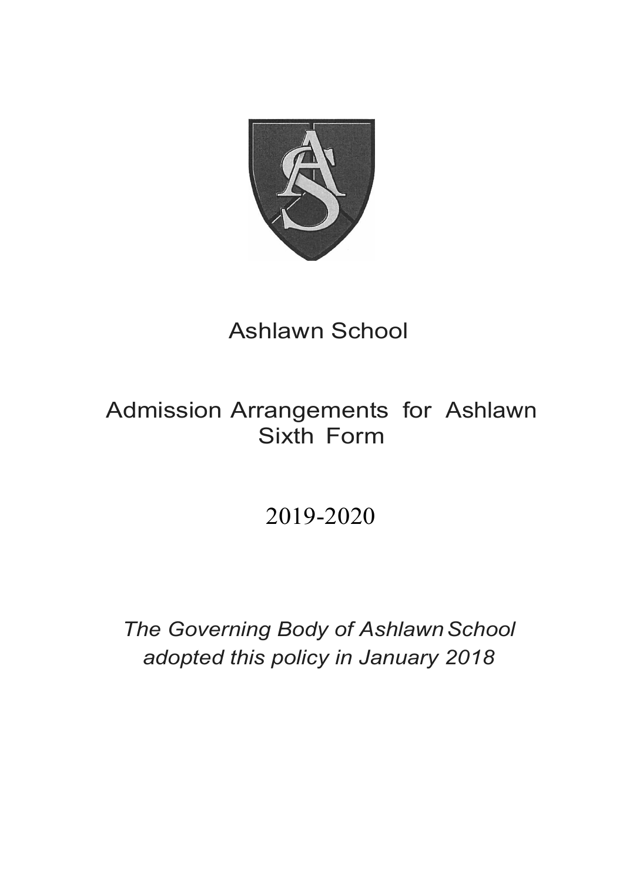

# Ashlawn School

## Admission Arrangements for Ashlawn Sixth Form

# 2019-2020

**The Governing Body of Ashlawn School** *adopted this policy in January 2018*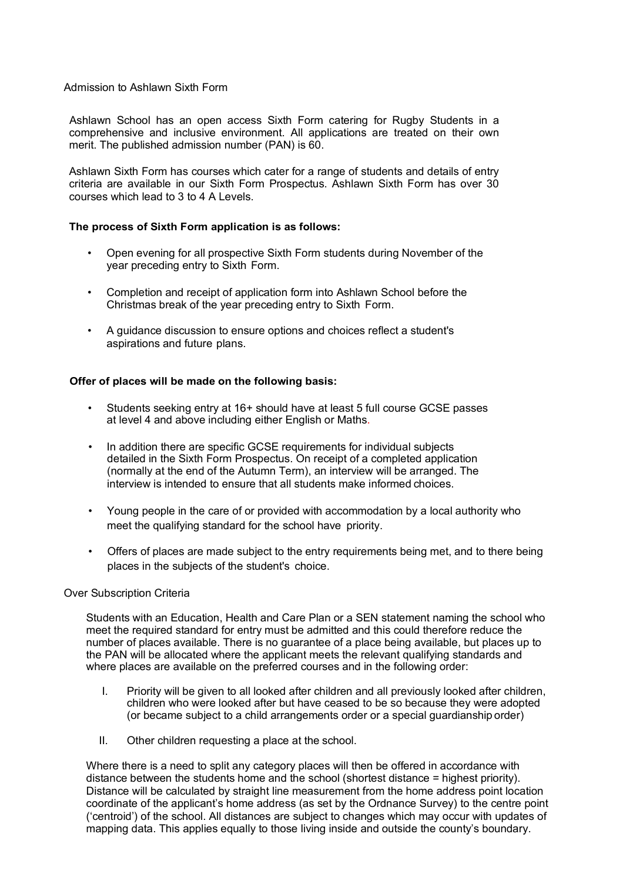#### Admission to Ashlawn Sixth Form

Ashlawn School has an open access Sixth Form catering for Rugby Students in a comprehensive and inclusive environment. All applications are treated on their own merit. The published admission number (PAN) is 60.

Ashlawn Sixth Form has courses which cater for a range of students and details of entry criteria are available in our Sixth Form Prospectus. Ashlawn Sixth Form has over 30 courses which lead to 3 to 4 A Levels.

#### **The process of Sixth Form application is as follows:**

- Open evening for all prospective Sixth Form students during November of the year preceding entry to Sixth Form.
- Completion and receipt of application form into Ashlawn School before the Christmas break of the year preceding entry to Sixth Form.
- A guidance discussion to ensure options and choices reflect a student's aspirations and future plans.

#### **Offer of places will be made on the following basis:**

- Students seeking entry at 16+ should have at least 5 full course GCSE passes at level 4 and above including either English or Maths.
- In addition there are specific GCSE requirements for individual subjects detailed in the Sixth Form Prospectus. On receipt of a completed application (normally at the end of the Autumn Term), an interview will be arranged. The interview is intended to ensure that all students make informed choices.
- Young people in the care of or provided with accommodation by a local authority who meet the qualifying standard for the school have priority.
- Offers of places are made subject to the entry requirements being met, and to there being places in the subjects of the student's choice.

#### Over Subscription Criteria

Students with an Education, Health and Care Plan or a SEN statement naming the school who meet the required standard for entry must be admitted and this could therefore reduce the number of places available. There is no guarantee of a place being available, but places up to the PAN will be allocated where the applicant meets the relevant qualifying standards and where places are available on the preferred courses and in the following order:

- I. Priority will be given to all looked after children and all previously looked after children, children who were looked after but have ceased to be so because they were adopted (or became subject to a child arrangements order or a special guardianship order)
- II. Other children requesting a place at the school.

Where there is a need to split any category places will then be offered in accordance with distance between the students home and the school (shortest distance = highest priority). Distance will be calculated by straight line measurement from the home address point location coordinate of the applicant's home address (as set by the Ordnance Survey) to the centre point ('centroid') of the school. All distances are subject to changes which may occur with updates of mapping data. This applies equally to those living inside and outside the county's boundary.